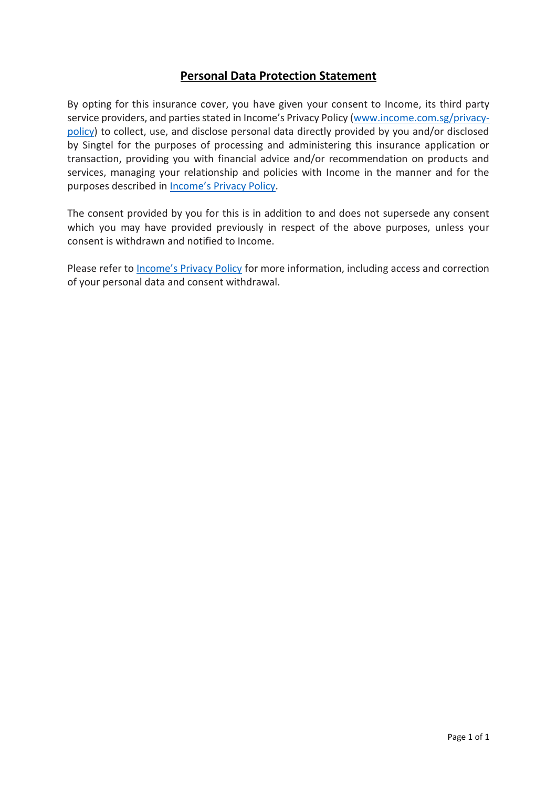# **Personal Data Protection Statement**

By opting for this insurance cover, you have given your consent to Income, its third party service providers, and parties stated in Income's Privacy Policy [\(www.income.com.sg/privacy](http://www.income.com.sg/privacy-policy)[policy\)](http://www.income.com.sg/privacy-policy) to collect, use, and disclose personal data directly provided by you and/or disclosed by Singtel for the purposes of processing and administering this insurance application or transaction, providing you with financial advice and/or recommendation on products and services, managing your relationship and policies with Income in the manner and for the purposes described in [Income's Privacy Policy](https://www.income.com.sg/privacy-policy).

The consent provided by you for this is in addition to and does not supersede any consent which you may have provided previously in respect of the above purposes, unless your consent is withdrawn and notified to Income.

Please refer to **[Income's Privacy Policy](https://www.income.com.sg/privacy-policy)** for more information, including access and correction of your personal data and consent withdrawal.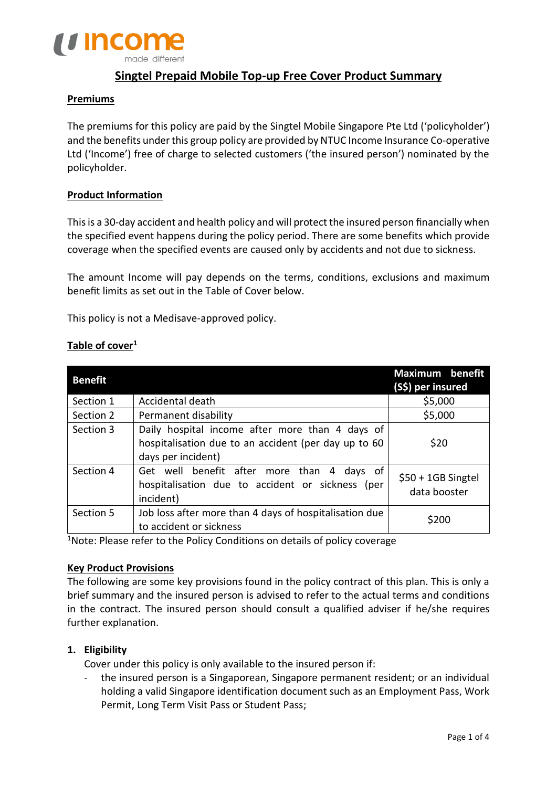

# **Singtel Prepaid Mobile Top-up Free Cover Product Summary**

### **Premiums**

The premiums for this policy are paid by the Singtel Mobile Singapore Pte Ltd ('policyholder') and the benefits under this group policy are provided by NTUC Income Insurance Co-operative Ltd ('Income') free of charge to selected customers ('the insured person') nominated by the policyholder.

### **Product Information**

This is a 30-day accident and health policy and will protect the insured person financially when the specified event happens during the policy period. There are some benefits which provide coverage when the specified events are caused only by accidents and not due to sickness.

The amount Income will pay depends on the terms, conditions, exclusions and maximum benefit limits as set out in the Table of Cover below.

This policy is not a Medisave-approved policy.

| <b>Benefit</b> |                                                                                                                               | <b>Maximum</b> benefit<br>(S\$) per insured |
|----------------|-------------------------------------------------------------------------------------------------------------------------------|---------------------------------------------|
| Section 1      | Accidental death                                                                                                              | \$5,000                                     |
| Section 2      | Permanent disability                                                                                                          | \$5,000                                     |
| Section 3      | Daily hospital income after more than 4 days of<br>hospitalisation due to an accident (per day up to 60<br>days per incident) | \$20                                        |
| Section 4      | Get well benefit after more than 4<br>days of<br>hospitalisation due to accident or sickness (per<br>incident)                | $$50 + 1GB$ Singtel<br>data booster         |
| Section 5      | Job loss after more than 4 days of hospitalisation due<br>to accident or sickness                                             | \$200                                       |

### **Table of cover<sup>1</sup>**

<sup>1</sup>Note: Please refer to the Policy Conditions on details of policy coverage

#### **Key Product Provisions**

The following are some key provisions found in the policy contract of this plan. This is only a brief summary and the insured person is advised to refer to the actual terms and conditions in the contract. The insured person should consult a qualified adviser if he/she requires further explanation.

### **1. Eligibility**

Cover under this policy is only available to the insured person if:

the insured person is a Singaporean, Singapore permanent resident; or an individual holding a valid Singapore identification document such as an Employment Pass, Work Permit, Long Term Visit Pass or Student Pass;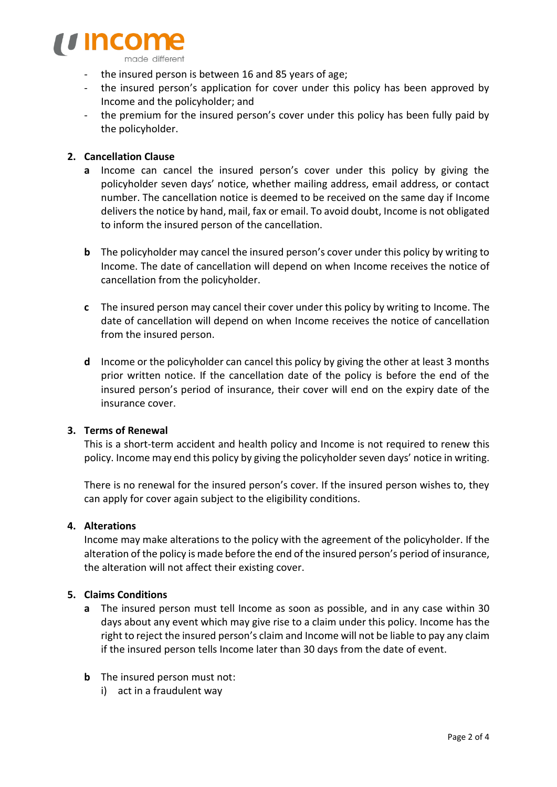

- the insured person is between 16 and 85 years of age;
- the insured person's application for cover under this policy has been approved by Income and the policyholder; and
- the premium for the insured person's cover under this policy has been fully paid by the policyholder.

## **2. Cancellation Clause**

- **a** Income can cancel the insured person's cover under this policy by giving the policyholder seven days' notice, whether mailing address, email address, or contact number. The cancellation notice is deemed to be received on the same day if Income deliversthe notice by hand, mail, fax or email. To avoid doubt, Income is not obligated to inform the insured person of the cancellation.
- **b** The policyholder may cancel the insured person's cover under this policy by writing to Income. The date of cancellation will depend on when Income receives the notice of cancellation from the policyholder.
- **c** The insured person may cancel their cover under this policy by writing to Income. The date of cancellation will depend on when Income receives the notice of cancellation from the insured person.
- **d** Income or the policyholder can cancel this policy by giving the other at least 3 months prior written notice. If the cancellation date of the policy is before the end of the insured person's period of insurance, their cover will end on the expiry date of the insurance cover.

### **3. Terms of Renewal**

This is a short-term accident and health policy and Income is not required to renew this policy. Income may end this policy by giving the policyholder seven days' notice in writing.

There is no renewal for the insured person's cover. If the insured person wishes to, they can apply for cover again subject to the eligibility conditions.

## **4. Alterations**

Income may make alterations to the policy with the agreement of the policyholder. If the alteration of the policy is made before the end of the insured person's period of insurance, the alteration will not affect their existing cover.

### **5. Claims Conditions**

- **a** The insured person must tell Income as soon as possible, and in any case within 30 days about any event which may give rise to a claim under this policy. Income has the right to reject the insured person's claim and Income will not be liable to pay any claim if the insured person tells Income later than 30 days from the date of event.
- **b** The insured person must not:
	- i) act in a fraudulent way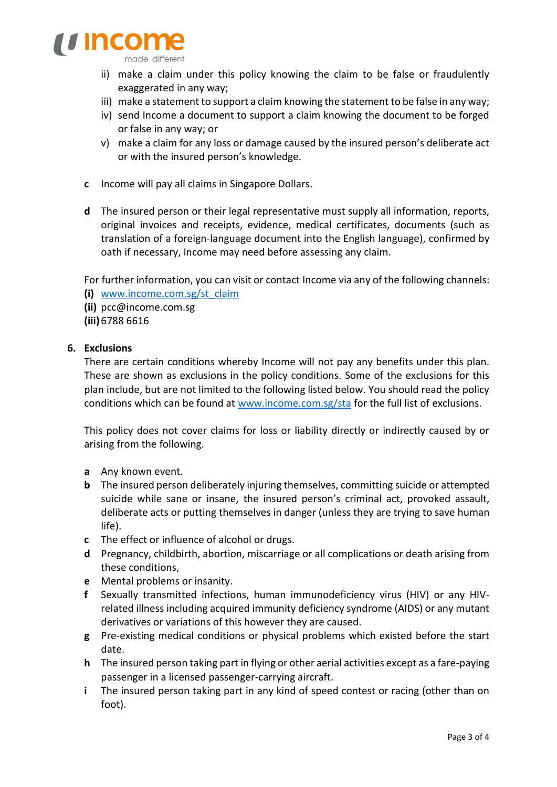

- ii) make a claim under this policy knowing the claim to be false or fraudulently exaggerated in any way;
- iii) make a statement to support a claim knowing the statement to be false in any way;
- iv) send Income a document to support a claim knowing the document to be forged or false in any way; or
- v) make a claim for any loss or damage caused by the insured person's deliberate act or with the insured person's knowledge.
- **c** Income will pay all claims in Singapore Dollars.
- **d** The insured person or their legal representative must supply all information, reports, original invoices and receipts, evidence, medical certificates, documents (such as translation of a foreign-language document into the English language), confirmed by oath if necessary, Income may need before assessing any claim.

For further information, you can visit or contact Income via any of the following channels:

- **(i)** [www.income.com.sg/st\\_claim](http://www.income.com.sg/st_claim)
- **(ii)** [pcc@income.com.sg](mailto:pcc@income.com.sg)
- **(iii)** 6788 6616

### **6. Exclusions**

There are certain conditions whereby Income will not pay any benefits under this plan. These are shown as exclusions in the policy conditions. Some of the exclusions for this plan include, but are not limited to the following listed below. You should read the policy conditions which can be found at [www.income.com.sg/sta](http://www.income.com.sg/sta) for the full list of exclusions.

This policy does not cover claims for loss or liability directly or indirectly caused by or arising from the following.

- **a** Any known event.
- **b** The insured person deliberately injuring themselves, committing suicide or attempted suicide while sane or insane, the insured person's criminal act, provoked assault, deliberate acts or putting themselves in danger (unless they are trying to save human life).
- **c** The effect or influence of alcohol or drugs.
- **d** Pregnancy, childbirth, abortion, miscarriage or all complications or death arising from these conditions,
- **e** Mental problems or insanity.
- **f** Sexually transmitted infections, human immunodeficiency virus (HIV) or any HIVrelated illness including acquired immunity deficiency syndrome (AIDS) or any mutant derivatives or variations of this however they are caused.
- **g** Pre-existing medical conditions or physical problems which existed before the start date.
- **h** The insured person taking part in flying or other aerial activities except as a fare-paying passenger in a licensed passenger-carrying aircraft.
- **i** The insured person taking part in any kind of speed contest or racing (other than on foot).